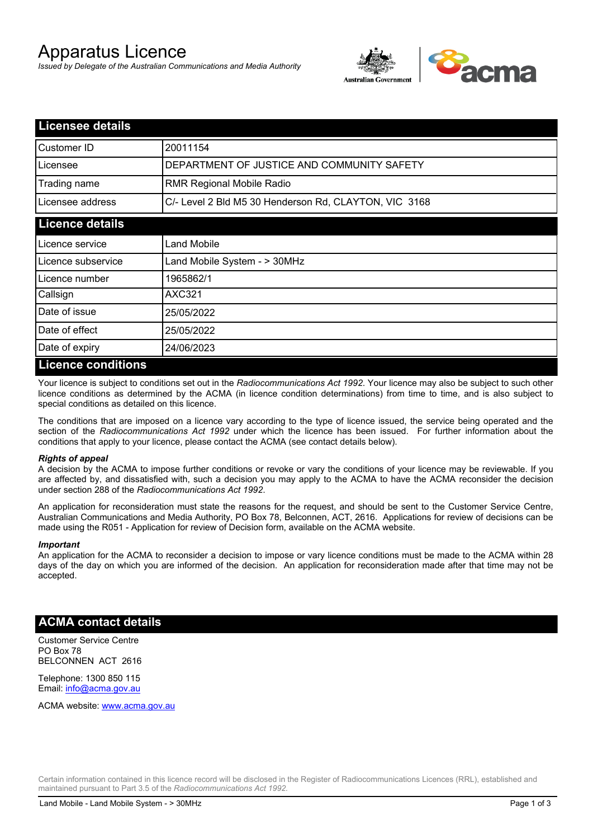# Apparatus Licence

*Issued by Delegate of the Australian Communications and Media Authority*



| <b>Licensee details</b> |                                                       |
|-------------------------|-------------------------------------------------------|
| Customer ID             | 20011154                                              |
| Licensee                | DEPARTMENT OF JUSTICE AND COMMUNITY SAFETY            |
| Trading name            | <b>RMR Regional Mobile Radio</b>                      |
| Licensee address        | C/- Level 2 Bld M5 30 Henderson Rd, CLAYTON, VIC 3168 |
| <b>Licence details</b>  |                                                       |
| l Licence service       | <b>Land Mobile</b>                                    |
| Licence subservice      | Land Mobile System - > 30MHz                          |
| Licence number          | 1965862/1                                             |
| Callsign                | <b>AXC321</b>                                         |
| Date of issue           | 25/05/2022                                            |
| Date of effect          | 25/05/2022                                            |
| Date of expiry          | 24/06/2023                                            |
| Licance conditions      |                                                       |

### **Licence conditions**

Your licence is subject to conditions set out in the *Radiocommunications Act 1992*. Your licence may also be subject to such other licence conditions as determined by the ACMA (in licence condition determinations) from time to time, and is also subject to special conditions as detailed on this licence.

The conditions that are imposed on a licence vary according to the type of licence issued, the service being operated and the section of the *Radiocommunications Act 1992* under which the licence has been issued. For further information about the conditions that apply to your licence, please contact the ACMA (see contact details below).

### *Rights of appeal*

A decision by the ACMA to impose further conditions or revoke or vary the conditions of your licence may be reviewable. If you are affected by, and dissatisfied with, such a decision you may apply to the ACMA to have the ACMA reconsider the decision under section 288 of the *Radiocommunications Act 1992*.

An application for reconsideration must state the reasons for the request, and should be sent to the Customer Service Centre, Australian Communications and Media Authority, PO Box 78, Belconnen, ACT, 2616. Applications for review of decisions can be made using the R051 - Application for review of Decision form, available on the ACMA website.

#### *Important*

An application for the ACMA to reconsider a decision to impose or vary licence conditions must be made to the ACMA within 28 days of the day on which you are informed of the decision. An application for reconsideration made after that time may not be accepted.

### **ACMA contact details**

Customer Service Centre PO Box 78 BELCONNEN ACT 2616

Telephone: 1300 850 115 Email: info@acma.gov.au

ACMA website: www.acma.gov.au

Certain information contained in this licence record will be disclosed in the Register of Radiocommunications Licences (RRL), established and maintained pursuant to Part 3.5 of the *Radiocommunications Act 1992.*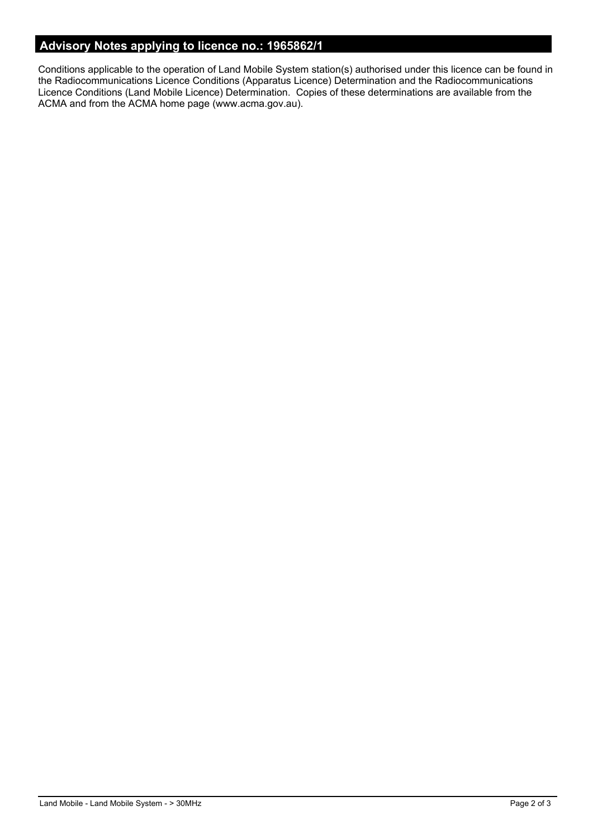# **Advisory Notes applying to licence no.: 1965862/1**

Conditions applicable to the operation of Land Mobile System station(s) authorised under this licence can be found in the Radiocommunications Licence Conditions (Apparatus Licence) Determination and the Radiocommunications Licence Conditions (Land Mobile Licence) Determination. Copies of these determinations are available from the ACMA and from the ACMA home page (www.acma.gov.au).